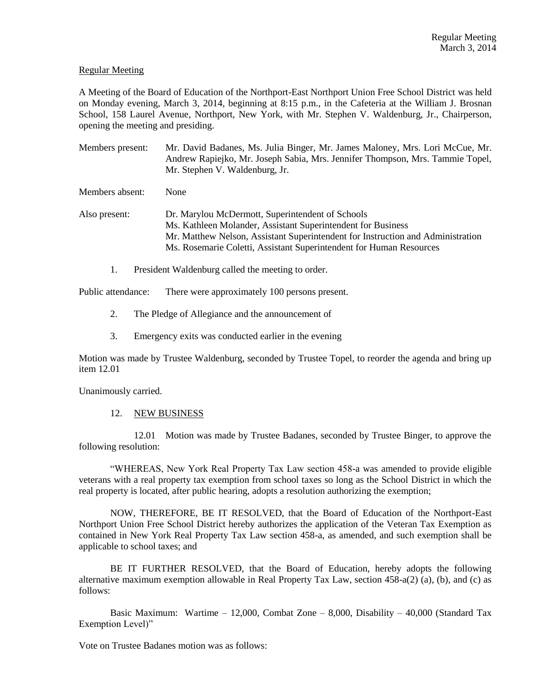### Regular Meeting

A Meeting of the Board of Education of the Northport-East Northport Union Free School District was held on Monday evening, March 3, 2014, beginning at 8:15 p.m., in the Cafeteria at the William J. Brosnan School, 158 Laurel Avenue, Northport, New York, with Mr. Stephen V. Waldenburg, Jr., Chairperson, opening the meeting and presiding.

Members present: Mr. David Badanes, Ms. Julia Binger, Mr. James Maloney, Mrs. Lori McCue, Mr. Andrew Rapiejko, Mr. Joseph Sabia, Mrs. Jennifer Thompson, Mrs. Tammie Topel, Mr. Stephen V. Waldenburg, Jr.

Members absent: None

Also present: Dr. Marylou McDermott, Superintendent of Schools Ms. Kathleen Molander, Assistant Superintendent for Business Mr. Matthew Nelson, Assistant Superintendent for Instruction and Administration Ms. Rosemarie Coletti, Assistant Superintendent for Human Resources

1. President Waldenburg called the meeting to order.

Public attendance: There were approximately 100 persons present.

- 2. The Pledge of Allegiance and the announcement of
- 3. Emergency exits was conducted earlier in the evening

Motion was made by Trustee Waldenburg, seconded by Trustee Topel, to reorder the agenda and bring up item 12.01

Unanimously carried.

#### 12. NEW BUSINESS

12.01 Motion was made by Trustee Badanes, seconded by Trustee Binger, to approve the following resolution:

"WHEREAS, New York Real Property Tax Law section 458-a was amended to provide eligible veterans with a real property tax exemption from school taxes so long as the School District in which the real property is located, after public hearing, adopts a resolution authorizing the exemption;

NOW, THEREFORE, BE IT RESOLVED, that the Board of Education of the Northport-East Northport Union Free School District hereby authorizes the application of the Veteran Tax Exemption as contained in New York Real Property Tax Law section 458-a, as amended, and such exemption shall be applicable to school taxes; and

BE IT FURTHER RESOLVED, that the Board of Education, hereby adopts the following alternative maximum exemption allowable in Real Property Tax Law, section 458-a(2) (a), (b), and (c) as follows:

Basic Maximum: Wartime – 12,000, Combat Zone – 8,000, Disability – 40,000 (Standard Tax Exemption Level)"

Vote on Trustee Badanes motion was as follows: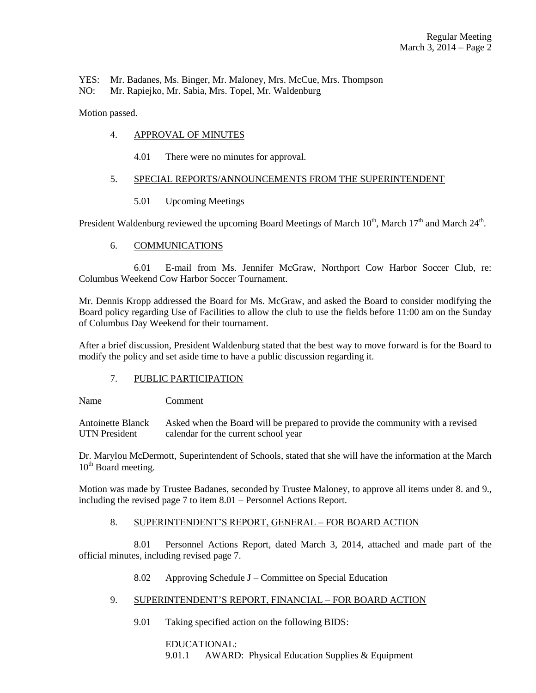YES: Mr. Badanes, Ms. Binger, Mr. Maloney, Mrs. McCue, Mrs. Thompson

NO: Mr. Rapiejko, Mr. Sabia, Mrs. Topel, Mr. Waldenburg

Motion passed.

## 4. APPROVAL OF MINUTES

4.01 There were no minutes for approval.

# 5. SPECIAL REPORTS/ANNOUNCEMENTS FROM THE SUPERINTENDENT

5.01 Upcoming Meetings

President Waldenburg reviewed the upcoming Board Meetings of March  $10^{th}$ , March  $17^{th}$  and March  $24^{th}$ .

# 6. COMMUNICATIONS

6.01 E-mail from Ms. Jennifer McGraw, Northport Cow Harbor Soccer Club, re: Columbus Weekend Cow Harbor Soccer Tournament.

Mr. Dennis Kropp addressed the Board for Ms. McGraw, and asked the Board to consider modifying the Board policy regarding Use of Facilities to allow the club to use the fields before 11:00 am on the Sunday of Columbus Day Weekend for their tournament.

After a brief discussion, President Waldenburg stated that the best way to move forward is for the Board to modify the policy and set aside time to have a public discussion regarding it.

### 7. PUBLIC PARTICIPATION

Name Comment

Antoinette Blanck Asked when the Board will be prepared to provide the community with a revised UTN President calendar for the current school year

Dr. Marylou McDermott, Superintendent of Schools, stated that she will have the information at the March  $10<sup>th</sup>$  Board meeting.

Motion was made by Trustee Badanes, seconded by Trustee Maloney, to approve all items under 8. and 9., including the revised page 7 to item 8.01 – Personnel Actions Report.

### 8. SUPERINTENDENT'S REPORT, GENERAL – FOR BOARD ACTION

8.01 Personnel Actions Report, dated March 3, 2014, attached and made part of the official minutes, including revised page 7.

### 8.02 Approving Schedule J – Committee on Special Education

- 9. SUPERINTENDENT'S REPORT, FINANCIAL FOR BOARD ACTION
	- 9.01 Taking specified action on the following BIDS:

EDUCATIONAL: 9.01.1 AWARD: Physical Education Supplies & Equipment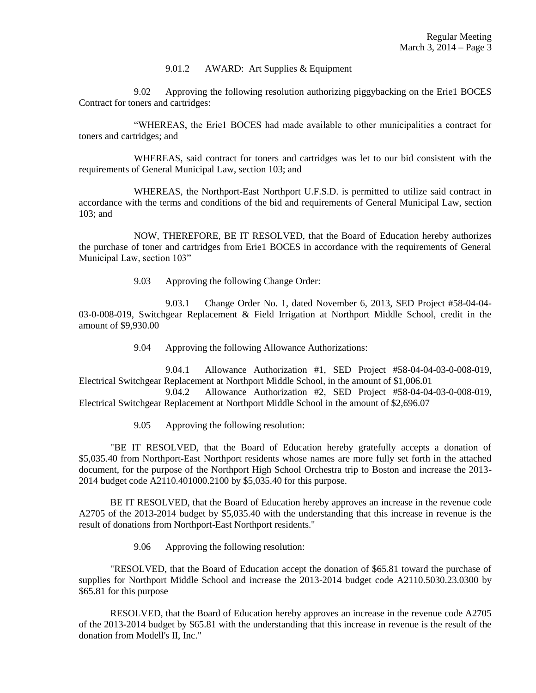#### 9.01.2 AWARD: Art Supplies & Equipment

9.02 Approving the following resolution authorizing piggybacking on the Erie1 BOCES Contract for toners and cartridges:

"WHEREAS, the Erie1 BOCES had made available to other municipalities a contract for toners and cartridges; and

WHEREAS, said contract for toners and cartridges was let to our bid consistent with the requirements of General Municipal Law, section 103; and

WHEREAS, the Northport-East Northport U.F.S.D. is permitted to utilize said contract in accordance with the terms and conditions of the bid and requirements of General Municipal Law, section 103; and

NOW, THEREFORE, BE IT RESOLVED, that the Board of Education hereby authorizes the purchase of toner and cartridges from Erie1 BOCES in accordance with the requirements of General Municipal Law, section 103"

9.03 Approving the following Change Order:

9.03.1 Change Order No. 1, dated November 6, 2013, SED Project #58-04-04- 03-0-008-019, Switchgear Replacement & Field Irrigation at Northport Middle School, credit in the amount of \$9,930.00

9.04 Approving the following Allowance Authorizations:

9.04.1 Allowance Authorization #1, SED Project #58-04-04-03-0-008-019, Electrical Switchgear Replacement at Northport Middle School, in the amount of \$1,006.01

9.04.2 Allowance Authorization #2, SED Project #58-04-04-03-0-008-019, Electrical Switchgear Replacement at Northport Middle School in the amount of \$2,696.07

9.05 Approving the following resolution:

"BE IT RESOLVED, that the Board of Education hereby gratefully accepts a donation of \$5,035.40 from Northport-East Northport residents whose names are more fully set forth in the attached document, for the purpose of the Northport High School Orchestra trip to Boston and increase the 2013- 2014 budget code A2110.401000.2100 by \$5,035.40 for this purpose.

BE IT RESOLVED, that the Board of Education hereby approves an increase in the revenue code A2705 of the 2013-2014 budget by \$5,035.40 with the understanding that this increase in revenue is the result of donations from Northport-East Northport residents."

9.06 Approving the following resolution:

"RESOLVED, that the Board of Education accept the donation of \$65.81 toward the purchase of supplies for Northport Middle School and increase the 2013-2014 budget code A2110.5030.23.0300 by \$65.81 for this purpose

RESOLVED, that the Board of Education hereby approves an increase in the revenue code A2705 of the 2013-2014 budget by \$65.81 with the understanding that this increase in revenue is the result of the donation from Modell's II, Inc."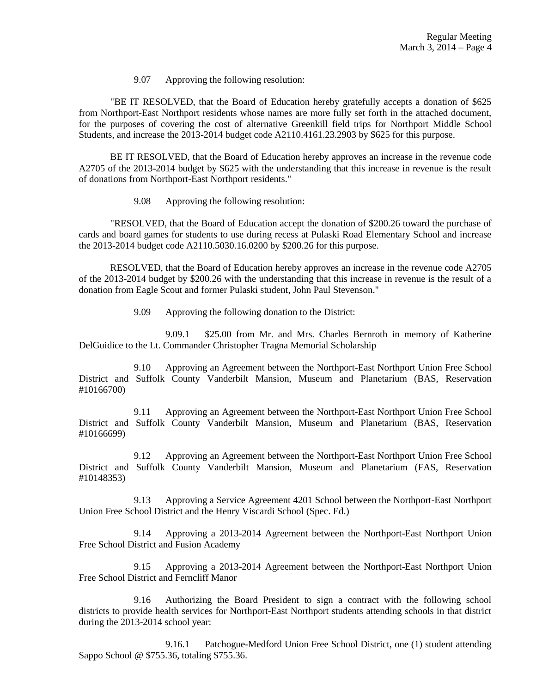9.07 Approving the following resolution:

"BE IT RESOLVED, that the Board of Education hereby gratefully accepts a donation of \$625 from Northport-East Northport residents whose names are more fully set forth in the attached document, for the purposes of covering the cost of alternative Greenkill field trips for Northport Middle School Students, and increase the 2013-2014 budget code A2110.4161.23.2903 by \$625 for this purpose.

BE IT RESOLVED, that the Board of Education hereby approves an increase in the revenue code A2705 of the 2013-2014 budget by \$625 with the understanding that this increase in revenue is the result of donations from Northport-East Northport residents."

9.08 Approving the following resolution:

"RESOLVED, that the Board of Education accept the donation of \$200.26 toward the purchase of cards and board games for students to use during recess at Pulaski Road Elementary School and increase the 2013-2014 budget code A2110.5030.16.0200 by \$200.26 for this purpose.

RESOLVED, that the Board of Education hereby approves an increase in the revenue code A2705 of the 2013-2014 budget by \$200.26 with the understanding that this increase in revenue is the result of a donation from Eagle Scout and former Pulaski student, John Paul Stevenson."

9.09 Approving the following donation to the District:

9.09.1 \$25.00 from Mr. and Mrs. Charles Bernroth in memory of Katherine DelGuidice to the Lt. Commander Christopher Tragna Memorial Scholarship

9.10 Approving an Agreement between the Northport-East Northport Union Free School District and Suffolk County Vanderbilt Mansion, Museum and Planetarium (BAS, Reservation #10166700)

9.11 Approving an Agreement between the Northport-East Northport Union Free School District and Suffolk County Vanderbilt Mansion, Museum and Planetarium (BAS, Reservation #10166699)

9.12 Approving an Agreement between the Northport-East Northport Union Free School District and Suffolk County Vanderbilt Mansion, Museum and Planetarium (FAS, Reservation #10148353)

9.13 Approving a Service Agreement 4201 School between the Northport-East Northport Union Free School District and the Henry Viscardi School (Spec. Ed.)

9.14 Approving a 2013-2014 Agreement between the Northport-East Northport Union Free School District and Fusion Academy

9.15 Approving a 2013-2014 Agreement between the Northport-East Northport Union Free School District and Ferncliff Manor

9.16 Authorizing the Board President to sign a contract with the following school districts to provide health services for Northport-East Northport students attending schools in that district during the 2013-2014 school year:

9.16.1 Patchogue-Medford Union Free School District, one (1) student attending Sappo School @ \$755.36, totaling \$755.36.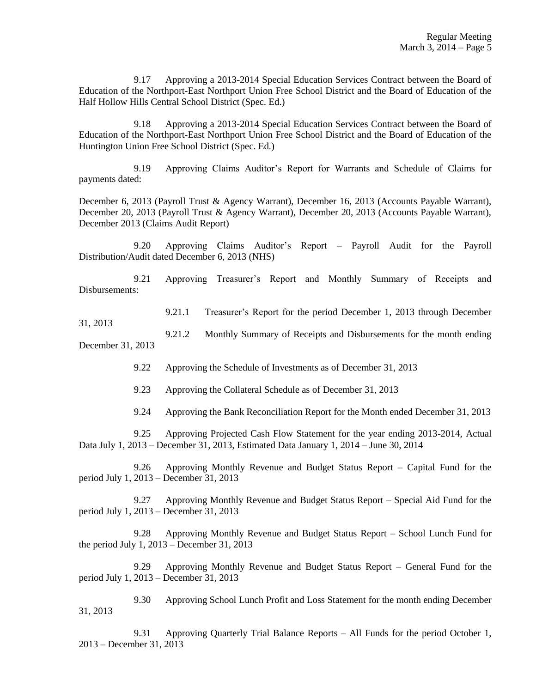9.17 Approving a 2013-2014 Special Education Services Contract between the Board of Education of the Northport-East Northport Union Free School District and the Board of Education of the Half Hollow Hills Central School District (Spec. Ed.)

9.18 Approving a 2013-2014 Special Education Services Contract between the Board of Education of the Northport-East Northport Union Free School District and the Board of Education of the Huntington Union Free School District (Spec. Ed.)

9.19 Approving Claims Auditor's Report for Warrants and Schedule of Claims for payments dated:

December 6, 2013 (Payroll Trust & Agency Warrant), December 16, 2013 (Accounts Payable Warrant), December 20, 2013 (Payroll Trust & Agency Warrant), December 20, 2013 (Accounts Payable Warrant), December 2013 (Claims Audit Report)

9.20 Approving Claims Auditor's Report – Payroll Audit for the Payroll Distribution/Audit dated December 6, 2013 (NHS)

9.21 Approving Treasurer's Report and Monthly Summary of Receipts and Disbursements:

9.21.1 Treasurer's Report for the period December 1, 2013 through December

9.21.2 Monthly Summary of Receipts and Disbursements for the month ending December 31, 2013

9.22 Approving the Schedule of Investments as of December 31, 2013

9.23 Approving the Collateral Schedule as of December 31, 2013

31, 2013

9.24 Approving the Bank Reconciliation Report for the Month ended December 31, 2013

9.25 Approving Projected Cash Flow Statement for the year ending 2013-2014, Actual Data July 1, 2013 – December 31, 2013, Estimated Data January 1, 2014 – June 30, 2014

9.26 Approving Monthly Revenue and Budget Status Report – Capital Fund for the period July 1, 2013 – December 31, 2013

9.27 Approving Monthly Revenue and Budget Status Report – Special Aid Fund for the period July 1, 2013 – December 31, 2013

9.28 Approving Monthly Revenue and Budget Status Report – School Lunch Fund for the period July 1, 2013 – December 31, 2013

9.29 Approving Monthly Revenue and Budget Status Report – General Fund for the period July 1, 2013 – December 31, 2013

9.30 Approving School Lunch Profit and Loss Statement for the month ending December 31, 2013

9.31 Approving Quarterly Trial Balance Reports – All Funds for the period October 1, 2013 – December 31, 2013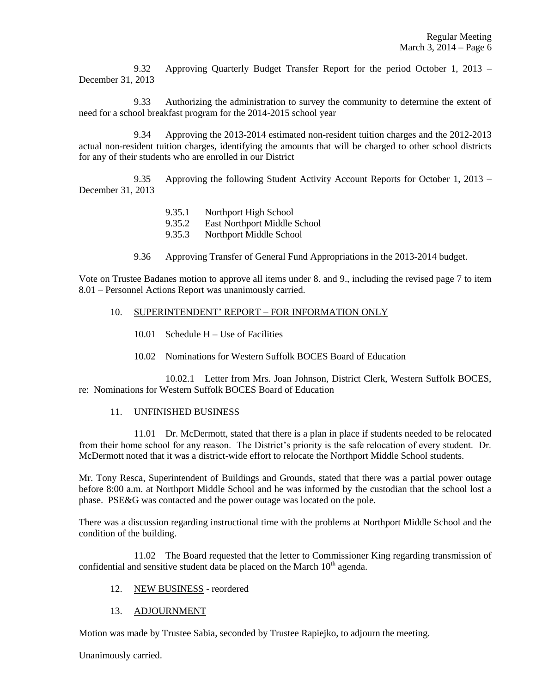9.32 Approving Quarterly Budget Transfer Report for the period October 1, 2013 – December 31, 2013

9.33 Authorizing the administration to survey the community to determine the extent of need for a school breakfast program for the 2014-2015 school year

9.34 Approving the 2013-2014 estimated non-resident tuition charges and the 2012-2013 actual non-resident tuition charges, identifying the amounts that will be charged to other school districts for any of their students who are enrolled in our District

9.35 Approving the following Student Activity Account Reports for October 1, 2013 – December 31, 2013

- 9.35.1 Northport High School
- 9.35.2 East Northport Middle School
- 9.35.3 Northport Middle School
- 9.36 Approving Transfer of General Fund Appropriations in the 2013-2014 budget.

Vote on Trustee Badanes motion to approve all items under 8. and 9., including the revised page 7 to item 8.01 – Personnel Actions Report was unanimously carried.

#### 10. SUPERINTENDENT' REPORT – FOR INFORMATION ONLY

- 10.01 Schedule H Use of Facilities
- 10.02 Nominations for Western Suffolk BOCES Board of Education

10.02.1 Letter from Mrs. Joan Johnson, District Clerk, Western Suffolk BOCES, re: Nominations for Western Suffolk BOCES Board of Education

### 11. UNFINISHED BUSINESS

11.01 Dr. McDermott, stated that there is a plan in place if students needed to be relocated from their home school for any reason. The District's priority is the safe relocation of every student. Dr. McDermott noted that it was a district-wide effort to relocate the Northport Middle School students.

Mr. Tony Resca, Superintendent of Buildings and Grounds, stated that there was a partial power outage before 8:00 a.m. at Northport Middle School and he was informed by the custodian that the school lost a phase. PSE&G was contacted and the power outage was located on the pole.

There was a discussion regarding instructional time with the problems at Northport Middle School and the condition of the building.

11.02 The Board requested that the letter to Commissioner King regarding transmission of confidential and sensitive student data be placed on the March  $10<sup>th</sup>$  agenda.

### 12. NEW BUSINESS - reordered

### 13. ADJOURNMENT

Motion was made by Trustee Sabia, seconded by Trustee Rapiejko, to adjourn the meeting.

Unanimously carried.